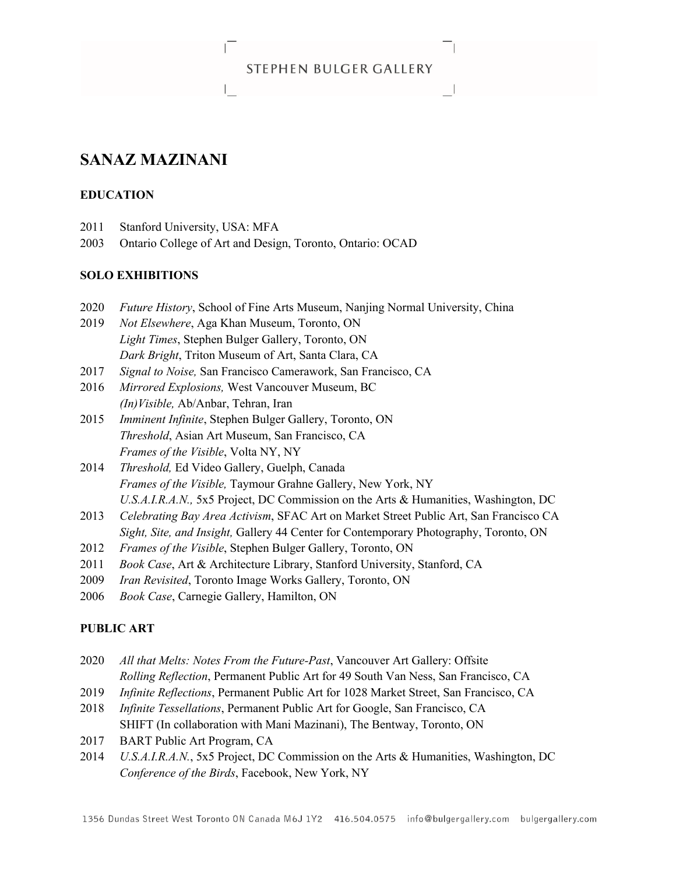### **STEPHEN BULGER GALLERY**

# **SANAZ MAZINANI**

### **EDUCATION**

- 2011 Stanford University, USA: MFA
- 2003 Ontario College of Art and Design, Toronto, Ontario: OCAD

### **SOLO EXHIBITIONS**

- 2020 *Future History*, School of Fine Arts Museum, Nanjing Normal University, China
- 2019 *Not Elsewhere*, Aga Khan Museum, Toronto, ON *Light Times*, Stephen Bulger Gallery, Toronto, ON *Dark Bright*, Triton Museum of Art, Santa Clara, CA
- 2017 *Signal to Noise,* San Francisco Camerawork, San Francisco, CA
- 2016 *Mirrored Explosions,* West Vancouver Museum, BC *(In)Visible,* Ab/Anbar, Tehran, Iran
- 2015 *Imminent Infinite*, Stephen Bulger Gallery, Toronto, ON *Threshold*, Asian Art Museum, San Francisco, CA *Frames of the Visible*, Volta NY, NY
- 2014 *Threshold,* Ed Video Gallery, Guelph, Canada *Frames of the Visible,* Taymour Grahne Gallery, New York, NY *U.S.A.I.R.A.N.,* 5x5 Project, DC Commission on the Arts & Humanities, Washington, DC
- 2013 *Celebrating Bay Area Activism*, SFAC Art on Market Street Public Art, San Francisco CA *Sight, Site, and Insight,* Gallery 44 Center for Contemporary Photography, Toronto, ON
- 2012 *Frames of the Visible*, Stephen Bulger Gallery, Toronto, ON
- 2011 *Book Case*, Art & Architecture Library, Stanford University, Stanford, CA
- 2009 *Iran Revisited*, Toronto Image Works Gallery, Toronto, ON
- 2006 *Book Case*, Carnegie Gallery, Hamilton, ON

### **PUBLIC ART**

- 2020 *All that Melts: Notes From the Future-Past*, Vancouver Art Gallery: Offsite *Rolling Reflection*, Permanent Public Art for 49 South Van Ness, San Francisco, CA
- 2019 *Infinite Reflections*, Permanent Public Art for 1028 Market Street, San Francisco, CA
- 2018 *Infinite Tessellations*, Permanent Public Art for Google, San Francisco, CA SHIFT (In collaboration with Mani Mazinani), The Bentway, Toronto, ON
- 2017 BART Public Art Program, CA
- 2014 *U.S.A.I.R.A.N.*, 5x5 Project, DC Commission on the Arts & Humanities, Washington, DC *Conference of the Birds*, Facebook, New York, NY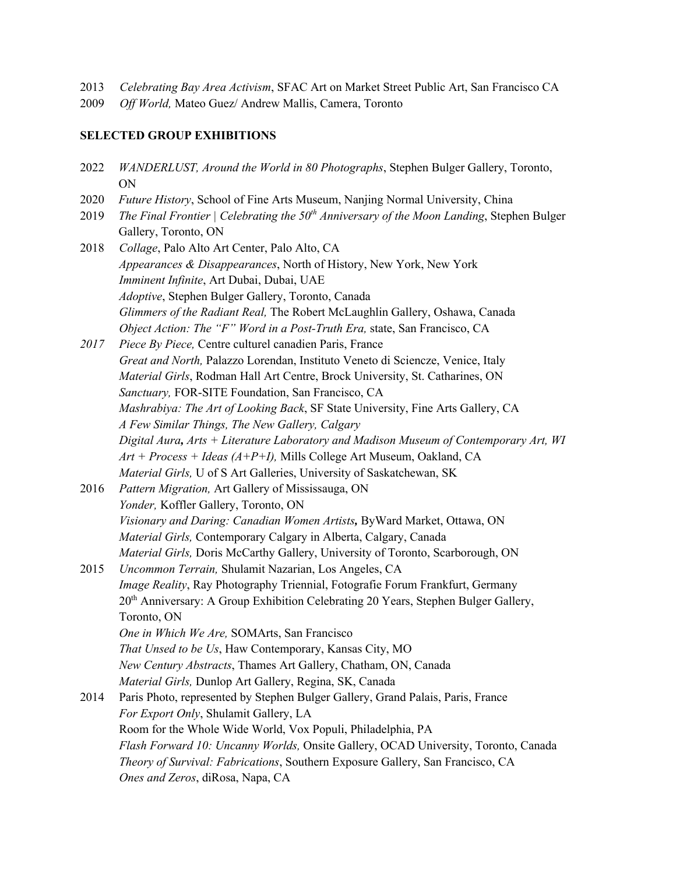- 2013 *Celebrating Bay Area Activism*, SFAC Art on Market Street Public Art, San Francisco CA
- 2009 *Off World,* Mateo Guez/ Andrew Mallis, Camera, Toronto

### **SELECTED GROUP EXHIBITIONS**

- 2022 *WANDERLUST, Around the World in 80 Photographs*, Stephen Bulger Gallery, Toronto, ON
- 2020 *Future History*, School of Fine Arts Museum, Nanjing Normal University, China
- 2019 *The Final Frontier | Celebrating the 50th Anniversary of the Moon Landing*, Stephen Bulger Gallery, Toronto, ON
- 2018 *Collage*, Palo Alto Art Center, Palo Alto, CA *Appearances & Disappearances*, North of History, New York, New York *Imminent Infinite*, Art Dubai, Dubai, UAE *Adoptive*, Stephen Bulger Gallery, Toronto, Canada *Glimmers of the Radiant Real,* The Robert McLaughlin Gallery, Oshawa, Canada *Object Action: The "F" Word in a Post-Truth Era, state, San Francisco, CA*
- *2017 Piece By Piece,* Centre culturel canadien Paris, France *Great and North,* Palazzo Lorendan, Instituto Veneto di Sciencze, Venice, Italy *Material Girls*, Rodman Hall Art Centre, Brock University, St. Catharines, ON *Sanctuary,* FOR-SITE Foundation, San Francisco, CA *Mashrabiya: The Art of Looking Back*, SF State University, Fine Arts Gallery, CA *A Few Similar Things, The New Gallery, Calgary Digital Aura, Arts + Literature Laboratory and Madison Museum of Contemporary Art, WI Art + Process + Ideas (A+P+I),* Mills College Art Museum, Oakland, CA *Material Girls,* U of S Art Galleries, University of Saskatchewan, SK
- 2016 *Pattern Migration,* Art Gallery of Mississauga, ON *Yonder,* Koffler Gallery, Toronto, ON *Visionary and Daring: Canadian Women Artists,* ByWard Market, Ottawa, ON *Material Girls,* Contemporary Calgary in Alberta, Calgary, Canada *Material Girls,* Doris McCarthy Gallery, University of Toronto, Scarborough, ON
- 2015 *Uncommon Terrain,* Shulamit Nazarian, Los Angeles, CA *Image Reality*, Ray Photography Triennial, Fotografie Forum Frankfurt, Germany 20<sup>th</sup> Anniversary: A Group Exhibition Celebrating 20 Years, Stephen Bulger Gallery, Toronto, ON *One in Which We Are,* SOMArts, San Francisco *That Unsed to be Us*, Haw Contemporary, Kansas City, MO *New Century Abstracts*, Thames Art Gallery, Chatham, ON, Canada *Material Girls,* Dunlop Art Gallery, Regina, SK, Canada 2014 Paris Photo, represented by Stephen Bulger Gallery, Grand Palais, Paris, France
	- *For Export Only*, Shulamit Gallery, LA Room for the Whole Wide World, Vox Populi, Philadelphia, PA *Flash Forward 10: Uncanny Worlds,* Onsite Gallery, OCAD University, Toronto, Canada *Theory of Survival: Fabrications*, Southern Exposure Gallery, San Francisco, CA *Ones and Zeros*, diRosa, Napa, CA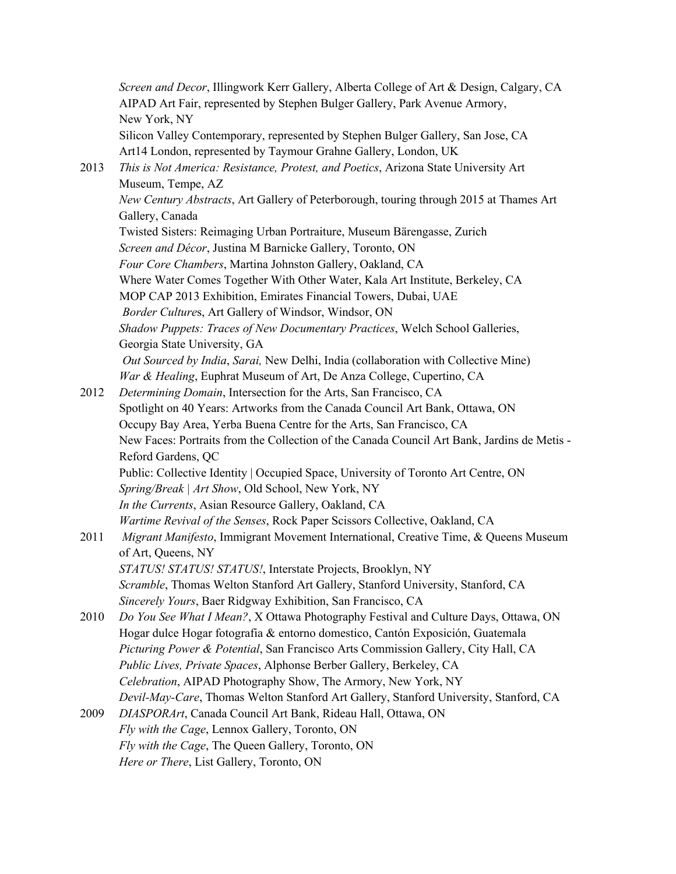*Screen and Decor*, Illingwork Kerr Gallery, Alberta College of Art & Design, Calgary, CA AIPAD Art Fair, represented by Stephen Bulger Gallery, Park Avenue Armory, New York, NY Silicon Valley Contemporary, represented by Stephen Bulger Gallery, San Jose, CA Art14 London, represented by Taymour Grahne Gallery, London, UK 2013 *This is Not America: Resistance, Protest, and Poetics*, Arizona State University Art Museum, Tempe, AZ *New Century Abstracts*, Art Gallery of Peterborough, touring through 2015 at Thames Art Gallery, Canada Twisted Sisters: Reimaging Urban Portraiture, Museum Bärengasse, Zurich *Screen and Décor*, Justina M Barnicke Gallery, Toronto, ON *Four Core Chambers*, Martina Johnston Gallery, Oakland, CA Where Water Comes Together With Other Water, Kala Art Institute, Berkeley, CA MOP CAP 2013 Exhibition, Emirates Financial Towers, Dubai, UAE  *Border Culture*s, Art Gallery of Windsor, Windsor, ON *Shadow Puppets: Traces of New Documentary Practices*, Welch School Galleries, Georgia State University, GA  *Out Sourced by India*, *Sarai,* New Delhi, India (collaboration with Collective Mine) *War & Healing*, Euphrat Museum of Art, De Anza College, Cupertino, CA 2012 *Determining Domain*, Intersection for the Arts, San Francisco, CA Spotlight on 40 Years: Artworks from the Canada Council Art Bank, Ottawa, ON Occupy Bay Area, Yerba Buena Centre for the Arts, San Francisco, CA New Faces: Portraits from the Collection of the Canada Council Art Bank, Jardins de Metis - Reford Gardens, QC Public: Collective Identity | Occupied Space, University of Toronto Art Centre, ON *Spring/Break | Art Show*, Old School, New York, NY *In the Currents*, Asian Resource Gallery, Oakland, CA *Wartime Revival of the Senses*, Rock Paper Scissors Collective, Oakland, CA 2011 *Migrant Manifesto*, Immigrant Movement International, Creative Time, & Queens Museum of Art, Queens, NY *STATUS! STATUS! STATUS!*, Interstate Projects, Brooklyn, NY *Scramble*, Thomas Welton Stanford Art Gallery, Stanford University, Stanford, CA *Sincerely Yours*, Baer Ridgway Exhibition, San Francisco, CA 2010 *Do You See What I Mean?*, X Ottawa Photography Festival and Culture Days, Ottawa, ON Hogar dulce Hogar fotografia & entorno domestico, Cantón Exposición, Guatemala *Picturing Power & Potential*, San Francisco Arts Commission Gallery, City Hall, CA *Public Lives, Private Spaces*, Alphonse Berber Gallery, Berkeley, CA *Celebration*, AIPAD Photography Show, The Armory, New York, NY *Devil-May-Care*, Thomas Welton Stanford Art Gallery, Stanford University, Stanford, CA 2009 *DIASPORArt*, Canada Council Art Bank, Rideau Hall, Ottawa, ON *Fly with the Cage*, Lennox Gallery, Toronto, ON *Fly with the Cage*, The Queen Gallery, Toronto, ON *Here or There*, List Gallery, Toronto, ON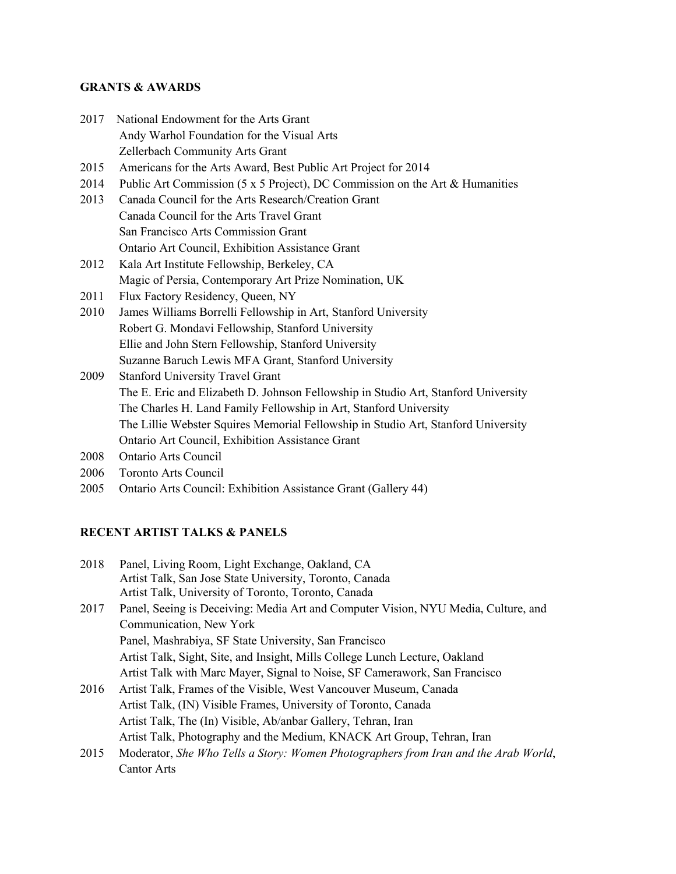### **GRANTS & AWARDS**

| 2017 National Endowment for the Arts Grant |
|--------------------------------------------|
| Andy Warhol Foundation for the Visual Arts |
| Zellerbach Community Arts Grant            |

- 2015 Americans for the Arts Award, Best Public Art Project for 2014
- 2014 Public Art Commission (5 x 5 Project), DC Commission on the Art & Humanities
- 2013 Canada Council for the Arts Research/Creation Grant Canada Council for the Arts Travel Grant San Francisco Arts Commission Grant Ontario Art Council, Exhibition Assistance Grant
- 2012 Kala Art Institute Fellowship, Berkeley, CA Magic of Persia, Contemporary Art Prize Nomination, UK
- 2011 Flux Factory Residency, Queen, NY
- 2010 James Williams Borrelli Fellowship in Art, Stanford University Robert G. Mondavi Fellowship, Stanford University Ellie and John Stern Fellowship, Stanford University Suzanne Baruch Lewis MFA Grant, Stanford University
- 2009 Stanford University Travel Grant The E. Eric and Elizabeth D. Johnson Fellowship in Studio Art, Stanford University The Charles H. Land Family Fellowship in Art, Stanford University The Lillie Webster Squires Memorial Fellowship in Studio Art, Stanford University Ontario Art Council, Exhibition Assistance Grant
- 2008 Ontario Arts Council
- 2006 Toronto Arts Council
- 2005 Ontario Arts Council: Exhibition Assistance Grant (Gallery 44)

# **RECENT ARTIST TALKS & PANELS**

| 2018 | Panel, Living Room, Light Exchange, Oakland, CA<br>Artist Talk, San Jose State University, Toronto, Canada<br>Artist Talk, University of Toronto, Toronto, Canada |
|------|-------------------------------------------------------------------------------------------------------------------------------------------------------------------|
| 2017 | Panel, Seeing is Deceiving: Media Art and Computer Vision, NYU Media, Culture, and                                                                                |
|      | Communication, New York                                                                                                                                           |
|      | Panel, Mashrabiya, SF State University, San Francisco                                                                                                             |
|      | Artist Talk, Sight, Site, and Insight, Mills College Lunch Lecture, Oakland                                                                                       |
|      | Artist Talk with Marc Mayer, Signal to Noise, SF Camerawork, San Francisco                                                                                        |
| 2016 | Artist Talk, Frames of the Visible, West Vancouver Museum, Canada                                                                                                 |
|      | Artist Talk, (IN) Visible Frames, University of Toronto, Canada                                                                                                   |

Artist Talk, The (In) Visible, Ab/anbar Gallery, Tehran, Iran Artist Talk, Photography and the Medium, KNACK Art Group, Tehran, Iran 2015 Moderator, *She Who Tells a Story: Women Photographers from Iran and the Arab World*, Cantor Arts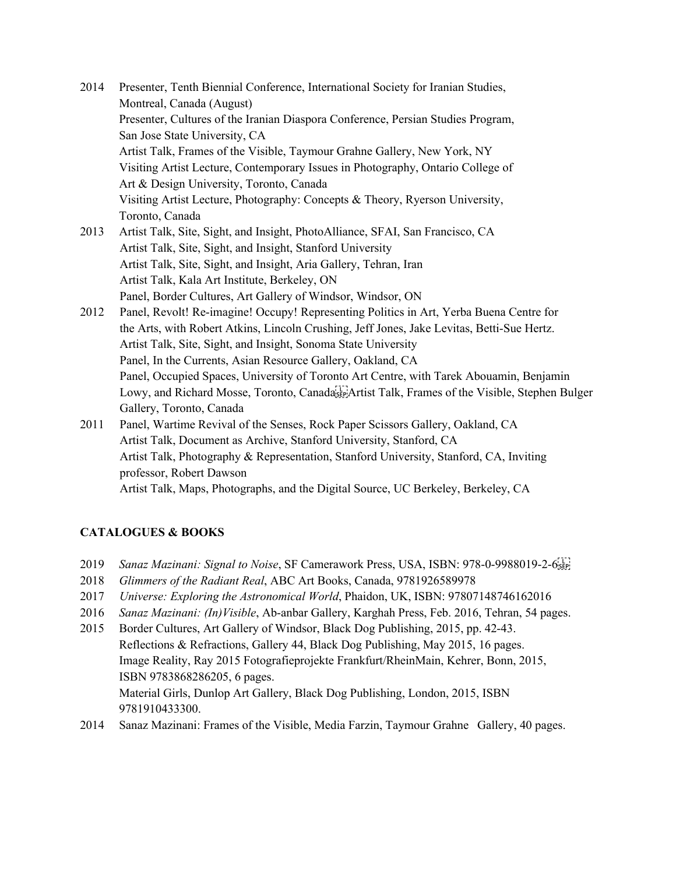| 2014 | Presenter, Tenth Biennial Conference, International Society for Iranian Studies,                            |
|------|-------------------------------------------------------------------------------------------------------------|
|      | Montreal, Canada (August)                                                                                   |
|      | Presenter, Cultures of the Iranian Diaspora Conference, Persian Studies Program,                            |
|      | San Jose State University, CA                                                                               |
|      | Artist Talk, Frames of the Visible, Taymour Grahne Gallery, New York, NY                                    |
|      | Visiting Artist Lecture, Contemporary Issues in Photography, Ontario College of                             |
|      | Art & Design University, Toronto, Canada                                                                    |
|      | Visiting Artist Lecture, Photography: Concepts & Theory, Ryerson University,                                |
|      | Toronto, Canada                                                                                             |
| 2013 | Artist Talk, Site, Sight, and Insight, PhotoAlliance, SFAI, San Francisco, CA                               |
|      | Artist Talk, Site, Sight, and Insight, Stanford University                                                  |
|      | Artist Talk, Site, Sight, and Insight, Aria Gallery, Tehran, Iran                                           |
|      | Artist Talk, Kala Art Institute, Berkeley, ON                                                               |
|      | Panel, Border Cultures, Art Gallery of Windsor, Windsor, ON                                                 |
| 2012 | Panel, Revolt! Re-imagine! Occupy! Representing Politics in Art, Yerba Buena Centre for                     |
|      | the Arts, with Robert Atkins, Lincoln Crushing, Jeff Jones, Jake Levitas, Betti-Sue Hertz.                  |
|      | Artist Talk, Site, Sight, and Insight, Sonoma State University                                              |
|      | Panel, In the Currents, Asian Resource Gallery, Oakland, CA                                                 |
|      | Panel, Occupied Spaces, University of Toronto Art Centre, with Tarek Abouamin, Benjamin                     |
|      | Lowy, and Richard Mosse, Toronto, Canada <sup>[17</sup> ]Artist Talk, Frames of the Visible, Stephen Bulger |
|      | Gallery, Toronto, Canada                                                                                    |
| 2011 | Panel, Wartime Revival of the Senses, Rock Paper Scissors Gallery, Oakland, CA                              |
|      | Artist Talk, Document as Archive, Stanford University, Stanford, CA                                         |
|      | Artist Talk, Photography & Representation, Stanford University, Stanford, CA, Inviting                      |
|      |                                                                                                             |

professor, Robert Dawson

Artist Talk, Maps, Photographs, and the Digital Source, UC Berkeley, Berkeley, CA

# **CATALOGUES & BOOKS**

- 2019 *Sanaz Mazinani: Signal to Noise*, SF Camerawork Press, USA, ISBN: 978-0-9988019-2-6
- 2018 *Glimmers of the Radiant Real*, ABC Art Books, Canada, 9781926589978
- 2017 *Universe: Exploring the Astronomical World*, Phaidon, UK, ISBN: 97807148746162016
- 2016 *Sanaz Mazinani: (In)Visible*, Ab-anbar Gallery, Karghah Press, Feb. 2016, Tehran, 54 pages.
- 2015 Border Cultures, Art Gallery of Windsor, Black Dog Publishing, 2015, pp. 42-43. Reflections & Refractions, Gallery 44, Black Dog Publishing, May 2015, 16 pages. Image Reality, Ray 2015 Fotografieprojekte Frankfurt/RheinMain, Kehrer, Bonn, 2015, ISBN 9783868286205, 6 pages. Material Girls, Dunlop Art Gallery, Black Dog Publishing, London, 2015, ISBN 9781910433300.
- 2014 Sanaz Mazinani: Frames of the Visible, Media Farzin, Taymour Grahne Gallery, 40 pages.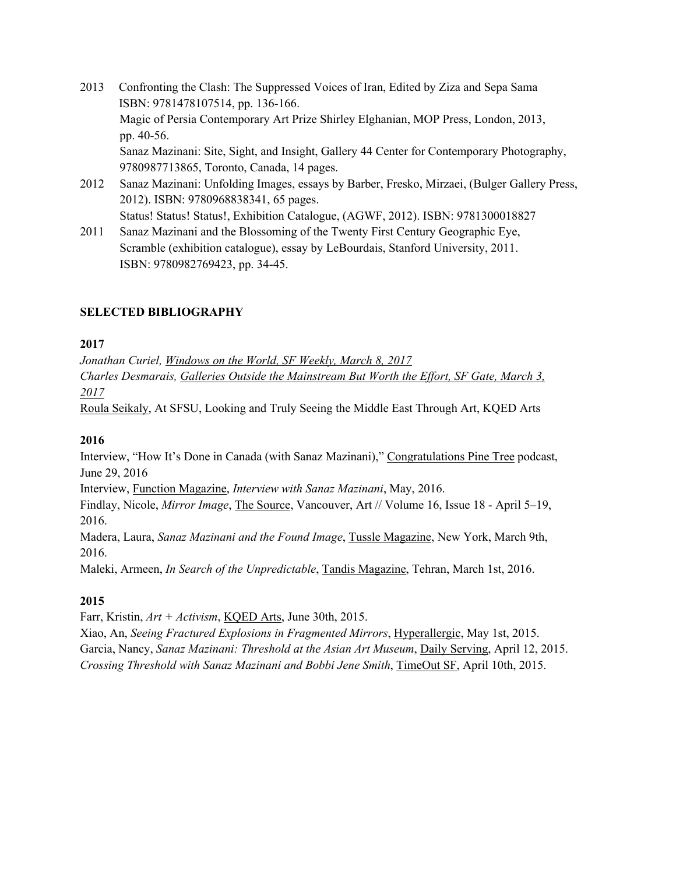- 2013 Confronting the Clash: The Suppressed Voices of Iran, Edited by Ziza and Sepa Sama ISBN: 9781478107514, pp. 136-166. Magic of Persia Contemporary Art Prize Shirley Elghanian, MOP Press, London, 2013, pp. 40-56. Sanaz Mazinani: Site, Sight, and Insight, Gallery 44 Center for Contemporary Photography, 9780987713865, Toronto, Canada, 14 pages.
- 2012 Sanaz Mazinani: Unfolding Images, essays by Barber, Fresko, Mirzaei, (Bulger Gallery Press, 2012). ISBN: 9780968838341, 65 pages. Status! Status! Status!, Exhibition Catalogue, (AGWF, 2012). ISBN: 9781300018827
- 2011 Sanaz Mazinani and the Blossoming of the Twenty First Century Geographic Eye, Scramble (exhibition catalogue), essay by LeBourdais, Stanford University, 2011. ISBN: 9780982769423, pp. 34-45.

# **SELECTED BIBLIOGRAPHY**

## **2017**

*Jonathan Curiel, Windows on the World, SF Weekly, March 8, 2017 Charles Desmarais, Galleries Outside the Mainstream But Worth the Effort, SF Gate, March 3, 2017*

Roula Seikaly, At SFSU, Looking and Truly Seeing the Middle East Through Art, KQED Arts

# **2016**

Interview, "How It's Done in Canada (with Sanaz Mazinani)," Congratulations Pine Tree podcast, June 29, 2016

Interview, Function Magazine, *Interview with Sanaz Mazinani*, May, 2016.

Findlay, Nicole, *Mirror Image*, The Source, Vancouver, Art // Volume 16, Issue 18 - April 5–19, 2016.

Madera, Laura, *Sanaz Mazinani and the Found Image*, Tussle Magazine, New York, March 9th, 2016.

Maleki, Armeen, *In Search of the Unpredictable*, Tandis Magazine, Tehran, March 1st, 2016.

# **2015**

Farr, Kristin, *Art + Activism*, KQED Arts, June 30th, 2015.

Xiao, An, *Seeing Fractured Explosions in Fragmented Mirrors*, Hyperallergic, May 1st, 2015. Garcia, Nancy, *Sanaz Mazinani: Threshold at the Asian Art Museum*, Daily Serving, April 12, 2015. *Crossing Threshold with Sanaz Mazinani and Bobbi Jene Smith*, TimeOut SF, April 10th, 2015.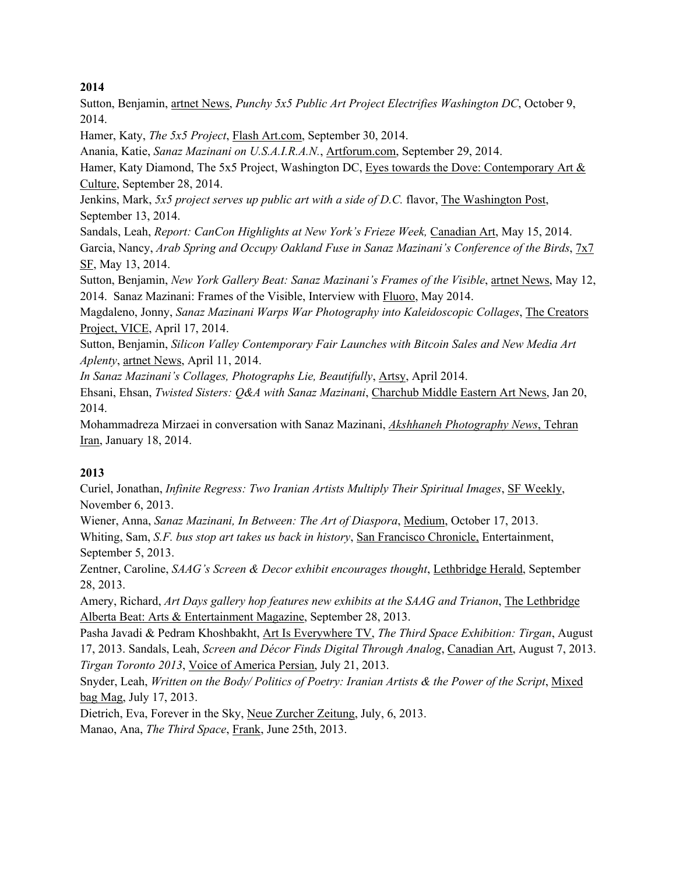## **2014**

Sutton, Benjamin, artnet News, *Punchy 5x5 Public Art Project Electrifies Washington DC*, October 9, 2014.

Hamer, Katy, *The 5x5 Project*, Flash Art.com, September 30, 2014.

Anania, Katie, *Sanaz Mazinani on U.S.A.I.R.A.N.*, Artforum.com, September 29, 2014.

Hamer, Katy Diamond, The 5x5 Project, Washington DC, Eyes towards the Dove: Contemporary Art & Culture, September 28, 2014.

Jenkins, Mark, *5x5 project serves up public art with a side of D.C.* flavor, The Washington Post, September 13, 2014.

Sandals, Leah, *Report: CanCon Highlights at New York's Frieze Week,* Canadian Art, May 15, 2014. Garcia, Nancy, *Arab Spring and Occupy Oakland Fuse in Sanaz Mazinani's Conference of the Birds*, 7x7 SF, May 13, 2014.

Sutton, Benjamin, *New York Gallery Beat: Sanaz Mazinani's Frames of the Visible*, artnet News, May 12, 2014. Sanaz Mazinani: Frames of the Visible, Interview with Fluoro, May 2014.

Magdaleno, Jonny, *Sanaz Mazinani Warps War Photography into Kaleidoscopic Collages*, The Creators Project, VICE, April 17, 2014.

Sutton, Benjamin, *Silicon Valley Contemporary Fair Launches with Bitcoin Sales and New Media Art Aplenty*, artnet News, April 11, 2014.

*In Sanaz Mazinani's Collages, Photographs Lie, Beautifully*, Artsy, April 2014.

Ehsani, Ehsan, *Twisted Sisters: Q&A with Sanaz Mazinani*, Charchub Middle Eastern Art News, Jan 20, 2014.

Mohammadreza Mirzaei in conversation with Sanaz Mazinani, *Akshhaneh Photography News*, Tehran Iran, January 18, 2014.

## **2013**

Curiel, Jonathan, *Infinite Regress: Two Iranian Artists Multiply Their Spiritual Images*, SF Weekly, November 6, 2013.

Wiener, Anna, *Sanaz Mazinani, In Between: The Art of Diaspora*, Medium, October 17, 2013. Whiting, Sam, *S.F. bus stop art takes us back in history*, San Francisco Chronicle, Entertainment, September 5, 2013.

Zentner, Caroline, *SAAG's Screen & Decor exhibit encourages thought*, Lethbridge Herald, September 28, 2013.

Amery, Richard, *Art Days gallery hop features new exhibits at the SAAG and Trianon*, The Lethbridge Alberta Beat: Arts & Entertainment Magazine, September 28, 2013.

Pasha Javadi & Pedram Khoshbakht, Art Is Everywhere TV, *The Third Space Exhibition: Tirgan*, August 17, 2013. Sandals, Leah, *Screen and Décor Finds Digital Through Analog*, Canadian Art, August 7, 2013. *Tirgan Toronto 2013*, Voice of America Persian, July 21, 2013.

Snyder, Leah, *Written on the Body/ Politics of Poetry: Iranian Artists & the Power of the Script*, Mixed bag Mag, July 17, 2013.

Dietrich, Eva, Forever in the Sky, Neue Zurcher Zeitung, July, 6, 2013. Manao, Ana, *The Third Space*, Frank, June 25th, 2013.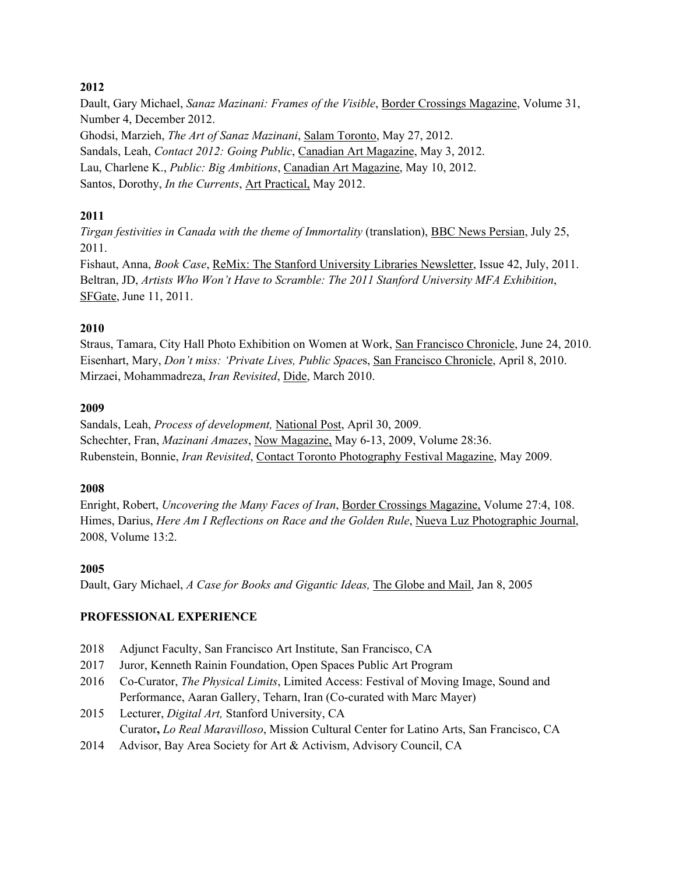## **2012**

Dault, Gary Michael, *Sanaz Mazinani: Frames of the Visible*, Border Crossings Magazine, Volume 31, Number 4, December 2012. Ghodsi, Marzieh, *The Art of Sanaz Mazinani*, Salam Toronto, May 27, 2012. Sandals, Leah, *Contact 2012: Going Public*, Canadian Art Magazine, May 3, 2012. Lau, Charlene K., *Public: Big Ambitions*, Canadian Art Magazine, May 10, 2012.

Santos, Dorothy, *In the Currents*, Art Practical, May 2012.

# **2011**

*Tirgan festivities in Canada with the theme of Immortality* (translation), BBC News Persian, July 25, 2011.

Fishaut, Anna, *Book Case*, ReMix: The Stanford University Libraries Newsletter, Issue 42, July, 2011. Beltran, JD, *Artists Who Won't Have to Scramble: The 2011 Stanford University MFA Exhibition*, SFGate, June 11, 2011.

## **2010**

Straus, Tamara, City Hall Photo Exhibition on Women at Work, San Francisco Chronicle, June 24, 2010. Eisenhart, Mary, *Don't miss: 'Private Lives, Public Space*s, San Francisco Chronicle, April 8, 2010. Mirzaei, Mohammadreza, *Iran Revisited*, Dide, March 2010.

### **2009**

Sandals, Leah, *Process of development,* National Post, April 30, 2009. Schechter, Fran, *Mazinani Amazes*, Now Magazine, May 6-13, 2009, Volume 28:36. Rubenstein, Bonnie, *Iran Revisited*, Contact Toronto Photography Festival Magazine, May 2009.

### **2008**

Enright, Robert, *Uncovering the Many Faces of Iran*, Border Crossings Magazine, Volume 27:4, 108. Himes, Darius, *Here Am I Reflections on Race and the Golden Rule*, Nueva Luz Photographic Journal, 2008, Volume 13:2.

### **2005**

Dault, Gary Michael, *A Case for Books and Gigantic Ideas,* The Globe and Mail, Jan 8, 2005

## **PROFESSIONAL EXPERIENCE**

- 2018 Adjunct Faculty, San Francisco Art Institute, San Francisco, CA
- 2017 Juror, Kenneth Rainin Foundation, Open Spaces Public Art Program
- 2016 Co-Curator, *The Physical Limits*, Limited Access: Festival of Moving Image, Sound and Performance, Aaran Gallery, Teharn, Iran (Co-curated with Marc Mayer)
- 2015 Lecturer, *Digital Art,* Stanford University, CA Curator**,** *Lo Real Maravilloso*, Mission Cultural Center for Latino Arts, San Francisco, CA
- 2014 Advisor, Bay Area Society for Art & Activism, Advisory Council, CA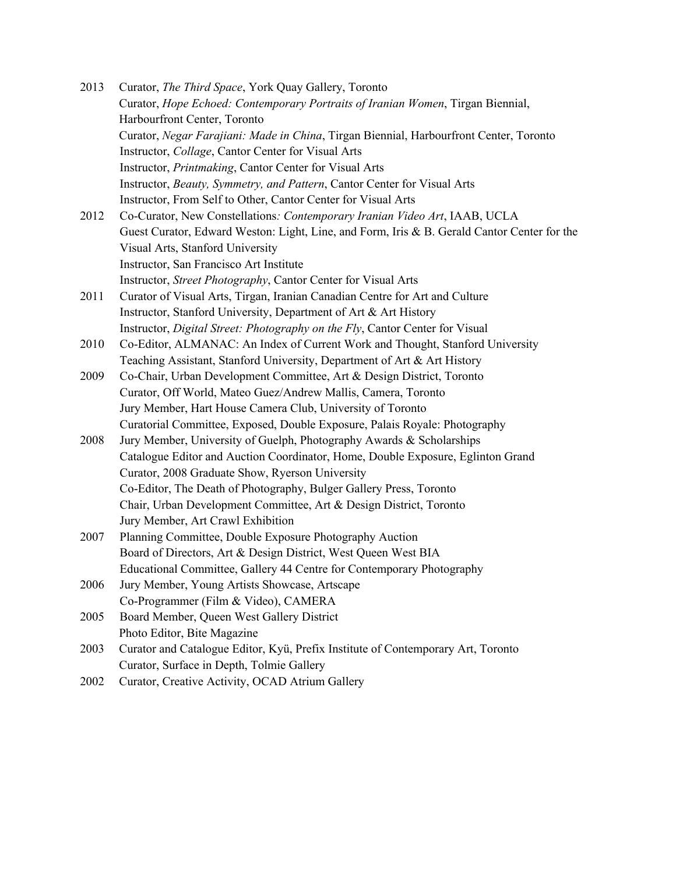2013 Curator, *The Third Space*, York Quay Gallery, Toronto Curator, *Hope Echoed: Contemporary Portraits of Iranian Women*, Tirgan Biennial, Harbourfront Center, Toronto Curator, *Negar Farajiani: Made in China*, Tirgan Biennial, Harbourfront Center, Toronto Instructor, *Collage*, Cantor Center for Visual Arts Instructor, *Printmaking*, Cantor Center for Visual Arts Instructor, *Beauty, Symmetry, and Pattern*, Cantor Center for Visual Arts Instructor, From Self to Other, Cantor Center for Visual Arts 2012 Co-Curator, New Constellations*: Contemporary Iranian Video Art*, IAAB, UCLA Guest Curator, Edward Weston: Light, Line, and Form, Iris & B. Gerald Cantor Center for the Visual Arts, Stanford University Instructor, San Francisco Art Institute Instructor, *Street Photography*, Cantor Center for Visual Arts 2011 Curator of Visual Arts, Tirgan, Iranian Canadian Centre for Art and Culture Instructor, Stanford University, Department of Art & Art History Instructor, *Digital Street: Photography on the Fly*, Cantor Center for Visual 2010 Co-Editor, ALMANAC: An Index of Current Work and Thought, Stanford University Teaching Assistant, Stanford University, Department of Art & Art History 2009 Co-Chair, Urban Development Committee, Art & Design District, Toronto Curator, Off World, Mateo Guez/Andrew Mallis, Camera, Toronto Jury Member, Hart House Camera Club, University of Toronto Curatorial Committee, Exposed, Double Exposure, Palais Royale: Photography 2008 Jury Member, University of Guelph, Photography Awards & Scholarships Catalogue Editor and Auction Coordinator, Home, Double Exposure, Eglinton Grand Curator, 2008 Graduate Show, Ryerson University Co-Editor, The Death of Photography, Bulger Gallery Press, Toronto Chair, Urban Development Committee, Art & Design District, Toronto Jury Member, Art Crawl Exhibition 2007 Planning Committee, Double Exposure Photography Auction Board of Directors, Art & Design District, West Queen West BIA Educational Committee, Gallery 44 Centre for Contemporary Photography 2006 Jury Member, Young Artists Showcase, Artscape Co-Programmer (Film & Video), CAMERA 2005 Board Member, Queen West Gallery District Photo Editor, Bite Magazine 2003 Curator and Catalogue Editor, Kyü, Prefix Institute of Contemporary Art, Toronto Curator, Surface in Depth, Tolmie Gallery 2002 Curator, Creative Activity, OCAD Atrium Gallery